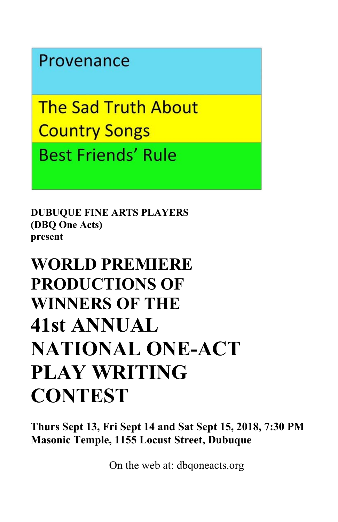# Provenance

**The Sad Truth About Country Songs Best Friends' Rule** 

**DUBUQUE FINE ARTS PLAYERS (DBQ One Acts) present**

# **WORLD PREMIERE PRODUCTIONS OF WINNERS OF THE 41st ANNUAL NATIONAL ONE-ACT PLAY WRITING CONTEST**

**Thurs Sept 13, Fri Sept 14 and Sat Sept 15, 2018, 7:30 PM Masonic Temple, 1155 Locust Street, Dubuque**

On the web at: dbqoneacts.org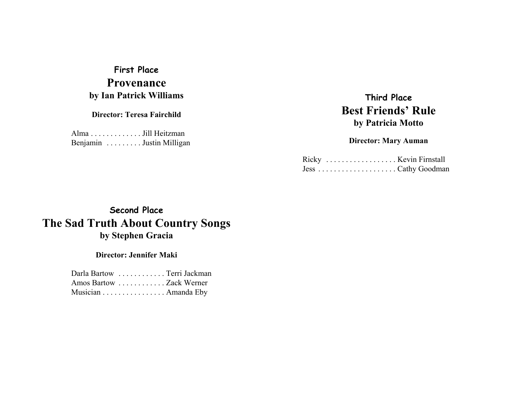# **First Place Provenanceby Ian Patrick Williams**

**Director: Teresa Fairchild**

Alma . . . . . . . . . . . . . Jill Heitzman Benjamin . . . . . . . . . Justin Milligan

# **Third PlaceBest Friends' Ruleby Patricia Motto**

#### **Director: Mary Auman**

# **Second Place The Sad Truth About Country Songs by Stephen Gracia**

#### **Director: Jennifer Maki**

|                         | Darla Bartow Terri Jackman |
|-------------------------|----------------------------|
| Amos Bartow Zack Werner |                            |
|                         | Musician Amanda Eby        |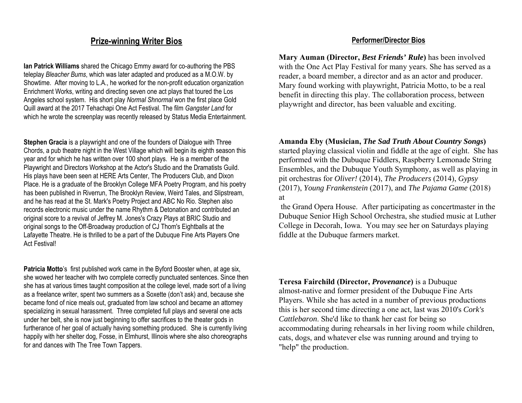### **Prize-winning Writer Bios**

**Ian Patrick Williams** shared the Chicago Emmy award for co-authoring the PBS teleplay *Bleacher Bums*, which was later adapted and produced as a M.O.W. by Showtime. After moving to L.A., he worked for the non-profit education organization Enrichment Works, writing and directing seven one act plays that toured the Los Angeles school system. His short play *Normal Shnormal* won the first place Gold Quill award at the 2017 Tehachapi One Act Festival. The film *Gangster Land* for which he wrote the screenplay was recently released by Status Media Entertainment.

**Stephen Gracia** is a playwright and one of the founders of Dialogue with Three Chords, a pub theatre night in the West Village which will begin its eighth season this year and for which he has written over 100 short plays. He is a member of the Playwright and Directors Workshop at the Actor's Studio and the Dramatists Guild. His plays have been seen at HERE Arts Center, The Producers Club, and Dixon Place. He is a graduate of the Brooklyn College MFA Poetry Program, and his poetry has been published in Riverrun, The Brooklyn Review, Weird Tales, and Slipstream, and he has read at the St. Mark's Poetry Project and ABC No Rio. Stephen also records electronic music under the name Rhythm & Detonation and contributed an original score to a revival of Jeffrey M. Jones's Crazy Plays at BRIC Studio and original songs to the Off-Broadway production of CJ Thom's Eightballs at the Lafayette Theatre. He is thrilled to be a part of the Dubuque Fine Arts Players One Act Festival!

**Patricia Motto**'s first published work came in the Byford Booster when, at age six, she wowed her teacher with two complete correctly punctuated sentences. Since then she has at various times taught composition at the college level, made sort of a living as a freelance writer, spent two summers as a Soxette (don't ask) and, because she became fond of nice meals out, graduated from law school and became an attorney specializing in sexual harassment. Three completed full plays and several one acts under her belt, she is now just beginning to offer sacrifices to the theater gods in furtherance of her goal of actually having something produced. She is currently living happily with her shelter dog, Fosse, in Elmhurst, Illinois where she also choreographs for and dances with The Tree Town Tappers.

#### **Performer/Director Bios**

**Mary Auman (Director,** *Best Friends' Rule***)** has been involved with the One Act Play Festival for many years. She has served as a reader, a board member, a director and as an actor and producer. Mary found working with playwright, Patricia Motto, to be a real benefit in directing this play. The collaboration process, between playwright and director, has been valuable and exciting.

**Amanda Eby (Musician,** *The Sad Truth About Country Songs***)** started playing classical violin and fiddle at the age of eight. She has performed with the Dubuque Fiddlers, Raspberry Lemonade String Ensembles, and the Dubuque Youth Symphony, as well as playing in pit orchestras for *Oliver!* (2014), *The Producers* (2014), *Gypsy* (2017), *Young Frankenstein* (2017), and *The Pajama Game* (2018) at

 the Grand Opera House. After participating as concertmaster in the Dubuque Senior High School Orchestra, she studied music at Luther College in Decorah, Iowa. You may see her on Saturdays playing fiddle at the Dubuque farmers market.

**Teresa Fairchild (Director,** *Provenance***)** is a Dubuque almost-native and former president of the Dubuque Fine Arts Players. While she has acted in a number of previous productions this is her second time directing a one act, last was 2010's *Cork's Cattlebaron*. She'd like to thank her cast for being so accommodating during rehearsals in her living room while children, cats, dogs, and whatever else was running around and trying to "help" the production.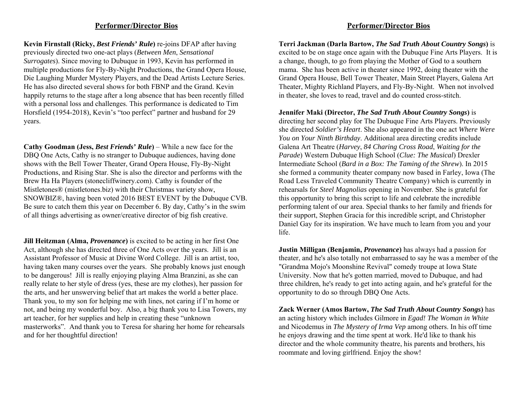#### **Performer/Director Bios**

**Kevin Firnstall (Ricky,** *Best Friends' Rule***)** re-joins DFAP after having previously directed two one-act plays (*Between Men*, *Sensational Surrogates*). Since moving to Dubuque in 1993, Kevin has performed in multiple productions for Fly-By-Night Productions, the Grand Opera House, Die Laughing Murder Mystery Players, and the Dead Artists Lecture Series. He has also directed several shows for both FBNP and the Grand. Kevinhappily returns to the stage after a long absence that has been recently filled with a personal loss and challenges. This performance is dedicated to Tim Horsfield (1954-2018), Kevin's "too perfect" partner and husband for 29 years.

**Cathy Goodman (Jess,** *Best Friends' Rule***)** – While a new face for the DBQ One Acts, Cathy is no stranger to Dubuque audiences, having done shows with the Bell Tower Theater, Grand Opera House, Fly-By-Night Productions, and Rising Star. She is also the director and performs with the Brew Ha Ha Players (stonecliffwinery.com). Cathy is founder of the Mistletones® (mistletones.biz) with their Christmas variety show, SNOWBIZ®, having been voted 2016 BEST EVENT by the Dubuque CVB. Be sure to catch them this year on December 6. By day, Cathy's in the swim of all things advertising as owner/creative director of big fish creative.

**Jill Heitzman (Alma,** *Provenance***)** is excited to be acting in her first One Act, although she has directed three of One Acts over the years. Jill is an Assistant Professor of Music at Divine Word College. Jill is an artist, too, having taken many courses over the years. She probably knows just enough to be dangerous! Jill is really enjoying playing Alma Branzini, as she can really relate to her style of dress (yes, these are my clothes), her passion for the arts, and her unswerving belief that art makes the world a better place. Thank you, to my son for helping me with lines, not caring if I'm home or not, and being my wonderful boy. Also, a big thank you to Lisa Towers, my art teacher, for her supplies and help in creating these "unknown masterworks". And thank you to Teresa for sharing her home for rehearsals and for her thoughtful direction!

#### **Performer/Director Bios**

**Terri Jackman (Darla Bartow,** *The Sad Truth About Country Songs***)** is excited to be on stage once again with the Dubuque Fine Arts Players. It is a change, though, to go from playing the Mother of God to a southern mama. She has been active in theater since 1992, doing theater with the Grand Opera House, Bell Tower Theater, Main Street Players, Galena Art Theater, Mighty Richland Players, and Fly-By-Night. When not involved in theater, she loves to read, travel and do counted cross-stitch.

**Jennifer Maki (Director,** *The Sad Truth About Country Songs***)** is directing her second play for The Dubuque Fine Arts Players. Previously she directed *Soldier's Heart*. She also appeared in the one act *Where Were You on Your Ninth Birthday*. Additional area directing credits include Galena Art Theatre (*Harvey*, *84 Charing Cross Road*, *Waiting for the Parade*) Western Dubuque High School (*Clue: The Musical*) Drexler Intermediate School (*Bard in a Box: The Taming of the Shrew*). In 2015 she formed a community theater company now based in Farley, Iowa (The Road Less Traveled Community Theatre Company) which is currently in rehearsals for *Steel Magnolias* opening in November. She is grateful for this opportunity to bring this script to life and celebrate the incredible performing talent of our area. Special thanks to her family and friends for their support, Stephen Gracia for this incredible script, and Christopher Daniel Gay for its inspiration. We have much to learn from you and your life.

**Justin Milligan (Benjamin,** *Provenance***)** has always had a passion for theater, and he's also totally not embarrassed to say he was a member of the "Grandma Mojo's Moonshine Revival" comedy troupe at Iowa State University. Now that he's gotten married, moved to Dubuque, and had three children, he's ready to get into acting again, and he's grateful for the opportunity to do so through DBQ One Acts.

**Zack Werner (Amos Bartow,** *The Sad Truth About Country Songs***)** has an acting history which includes Gilmore in *Egad! The Woman in White* and Nicodemus in *The Mystery of Irma Vep* among others. In his off time he enjoys drawing and the time spent at work. He'd like to thank his director and the whole community theatre, his parents and brothers, his roommate and loving girlfriend. Enjoy the show!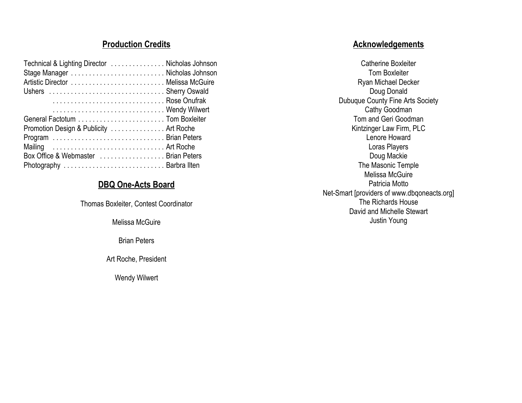### **Production Credits**

| Technical & Lighting Director Nicholas Johnson |  |
|------------------------------------------------|--|
|                                                |  |
|                                                |  |
| Rose Onufrak                                   |  |
| Wendy Wilwert                                  |  |
|                                                |  |
| Promotion Design & Publicity  Art Roche        |  |
|                                                |  |
| Mailing  Art Roche                             |  |
| Box Office & Webmaster  Brian Peters           |  |
|                                                |  |

### **DBQ One-Acts Board**

Thomas Boxleiter, Contest Coordinator

Melissa McGuire

Brian Peters

Art Roche, President

Wendy Wilwert

## **Acknowledgements**

Catherine BoxleiterTom BoxleiterRyan Michael Decker Doug Donald Dubuque County Fine Arts Society Cathy Goodman Tom and Geri Goodman Kintzinger Law Firm, PLC Lenore HowardLoras Players Doug Mackie The Masonic Temple Melissa McGuirePatricia MottoNet-Smart [providers of www.dbqoneacts.org] The Richards HouseDavid and Michelle StewartJustin Young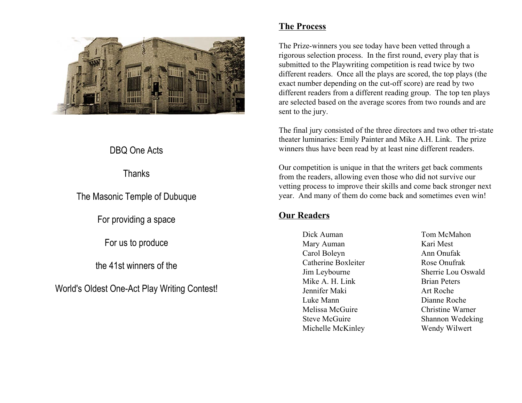

# DBQ One Acts

Thanks

The Masonic Temple of Dubuque

For providing a space

For us to produce

the 41st winners of the

World's Oldest One-Act Play Writing Contest!

### **The Process**

The Prize-winners you see today have been vetted through a rigorous selection process. In the first round, every play that is submitted to the Playwriting competition is read twice by two different readers. Once all the plays are scored, the top plays (the exact number depending on the cut-off score) are read by two different readers from a different reading group. The top ten plays are selected based on the average scores from two rounds and are sent to the jury.

The final jury consisted of the three directors and two other tri-state theater luminaries: Emily Painter and Mike A.H. Link. The prize winners thus have been read by at least nine different readers.

Our competition is unique in that the writers get back comments from the readers, allowing even those who did not survive our vetting process to improve their skills and come back stronger next year. And many of them do come back and sometimes even win!

### **Our Readers**

Dick Auman Tom McMahon Mary Auman Kari Mest Carol Boleyn Ann Onufak Catherine Boxleiter Rose Onufrak Jim Leybourne Sherrie Lou Oswald Mike A. H. Link Brian Peters Jennifer Maki Art Roche Luke Mann Dianne Roche Melissa McGuire Christine Warner Steve McGuire Shannon Wedeking Michelle McKinley Wendy Wilwert